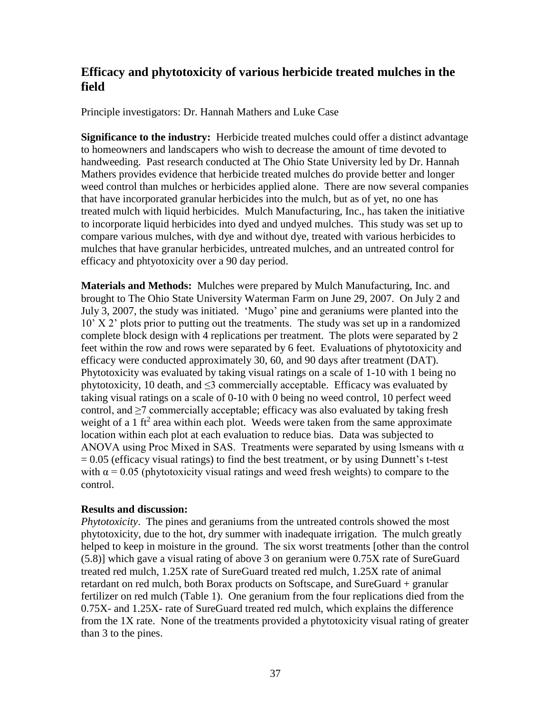## **Efficacy and phytotoxicity of various herbicide treated mulches in the field**

Principle investigators: Dr. Hannah Mathers and Luke Case

**Significance to the industry:** Herbicide treated mulches could offer a distinct advantage to homeowners and landscapers who wish to decrease the amount of time devoted to handweeding. Past research conducted at The Ohio State University led by Dr. Hannah Mathers provides evidence that herbicide treated mulches do provide better and longer weed control than mulches or herbicides applied alone. There are now several companies that have incorporated granular herbicides into the mulch, but as of yet, no one has treated mulch with liquid herbicides. Mulch Manufacturing, Inc., has taken the initiative to incorporate liquid herbicides into dyed and undyed mulches. This study was set up to compare various mulches, with dye and without dye, treated with various herbicides to mulches that have granular herbicides, untreated mulches, and an untreated control for efficacy and phtyotoxicity over a 90 day period.

**Materials and Methods:** Mulches were prepared by Mulch Manufacturing, Inc. and brought to The Ohio State University Waterman Farm on June 29, 2007. On July 2 and July 3, 2007, the study was initiated. 'Mugo' pine and geraniums were planted into the 10' X 2' plots prior to putting out the treatments. The study was set up in a randomized complete block design with 4 replications per treatment. The plots were separated by 2 feet within the row and rows were separated by 6 feet. Evaluations of phytotoxicity and efficacy were conducted approximately 30, 60, and 90 days after treatment (DAT). Phytotoxicity was evaluated by taking visual ratings on a scale of 1-10 with 1 being no phytotoxicity, 10 death, and  $\leq$ 3 commercially acceptable. Efficacy was evaluated by taking visual ratings on a scale of 0-10 with 0 being no weed control, 10 perfect weed control, and  $\geq$ 7 commercially acceptable; efficacy was also evaluated by taking fresh weight of a 1 ft<sup>2</sup> area within each plot. Weeds were taken from the same approximate location within each plot at each evaluation to reduce bias. Data was subjected to ANOVA using Proc Mixed in SAS. Treatments were separated by using lsmeans with  $\alpha$  $= 0.05$  (efficacy visual ratings) to find the best treatment, or by using Dunnett's t-test with  $\alpha$  = 0.05 (phytotoxicity visual ratings and weed fresh weights) to compare to the control.

## **Results and discussion:**

*Phytotoxicity*. The pines and geraniums from the untreated controls showed the most phytotoxicity, due to the hot, dry summer with inadequate irrigation. The mulch greatly helped to keep in moisture in the ground. The six worst treatments [other than the control (5.8)] which gave a visual rating of above 3 on geranium were 0.75X rate of SureGuard treated red mulch, 1.25X rate of SureGuard treated red mulch, 1.25X rate of animal retardant on red mulch, both Borax products on Softscape, and SureGuard + granular fertilizer on red mulch (Table 1). One geranium from the four replications died from the 0.75X- and 1.25X- rate of SureGuard treated red mulch, which explains the difference from the 1X rate. None of the treatments provided a phytotoxicity visual rating of greater than 3 to the pines.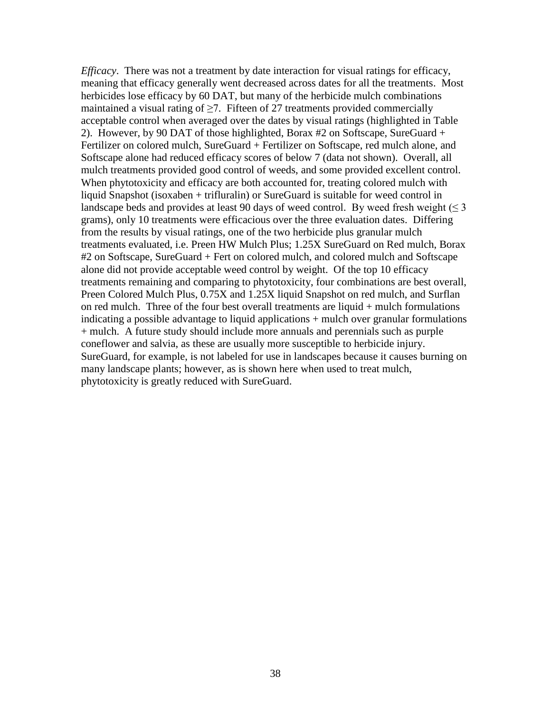*Efficacy*. There was not a treatment by date interaction for visual ratings for efficacy, meaning that efficacy generally went decreased across dates for all the treatments. Most herbicides lose efficacy by 60 DAT, but many of the herbicide mulch combinations maintained a visual rating of  $\geq$ 7. Fifteen of 27 treatments provided commercially acceptable control when averaged over the dates by visual ratings (highlighted in Table 2). However, by 90 DAT of those highlighted, Borax #2 on Softscape, SureGuard + Fertilizer on colored mulch, SureGuard + Fertilizer on Softscape, red mulch alone, and Softscape alone had reduced efficacy scores of below 7 (data not shown). Overall, all mulch treatments provided good control of weeds, and some provided excellent control. When phytotoxicity and efficacy are both accounted for, treating colored mulch with liquid Snapshot (isoxaben + trifluralin) or SureGuard is suitable for weed control in landscape beds and provides at least 90 days of weed control. By weed fresh weight  $(\leq 3)$ grams), only 10 treatments were efficacious over the three evaluation dates. Differing from the results by visual ratings, one of the two herbicide plus granular mulch treatments evaluated, i.e. Preen HW Mulch Plus; 1.25X SureGuard on Red mulch, Borax #2 on Softscape, SureGuard + Fert on colored mulch, and colored mulch and Softscape alone did not provide acceptable weed control by weight. Of the top 10 efficacy treatments remaining and comparing to phytotoxicity, four combinations are best overall, Preen Colored Mulch Plus, 0.75X and 1.25X liquid Snapshot on red mulch, and Surflan on red mulch. Three of the four best overall treatments are liquid + mulch formulations indicating a possible advantage to liquid applications + mulch over granular formulations + mulch. A future study should include more annuals and perennials such as purple coneflower and salvia, as these are usually more susceptible to herbicide injury. SureGuard, for example, is not labeled for use in landscapes because it causes burning on many landscape plants; however, as is shown here when used to treat mulch, phytotoxicity is greatly reduced with SureGuard.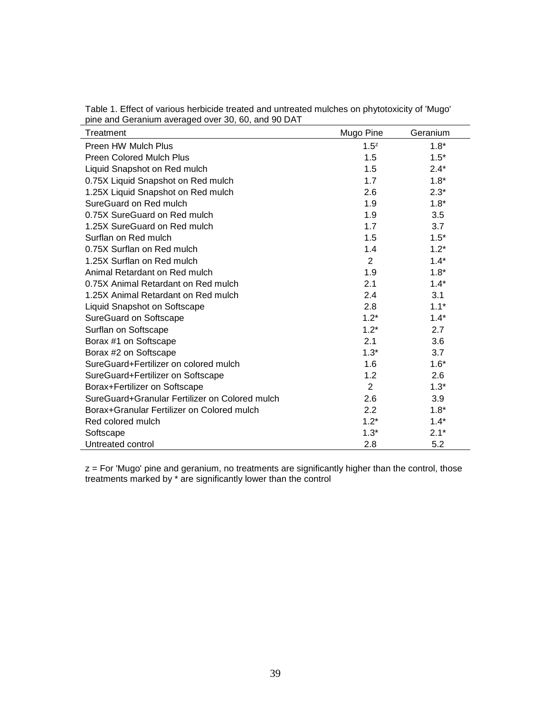| $5.10$ and Solaman avoidged over 50, 60, and 50 BM<br>Treatment | Mugo Pine        | Geranium |
|-----------------------------------------------------------------|------------------|----------|
| Preen HW Mulch Plus                                             | 1.5 <sup>z</sup> | $1.8*$   |
| <b>Preen Colored Mulch Plus</b>                                 | 1.5              | $1.5*$   |
| Liquid Snapshot on Red mulch                                    | 1.5              | $2.4*$   |
| 0.75X Liquid Snapshot on Red mulch                              | 1.7              | $1.8*$   |
| 1.25X Liquid Snapshot on Red mulch                              | 2.6              | $2.3*$   |
| SureGuard on Red mulch                                          | 1.9              | $1.8*$   |
| 0.75X SureGuard on Red mulch                                    | 1.9              | 3.5      |
| 1.25X SureGuard on Red mulch                                    | 1.7              | 3.7      |
| Surflan on Red mulch                                            | 1.5              | $1.5*$   |
| 0.75X Surflan on Red mulch                                      | 1.4              | $1.2*$   |
| 1.25X Surflan on Red mulch                                      | $\overline{2}$   | $1.4*$   |
| Animal Retardant on Red mulch                                   | 1.9              | $1.8*$   |
| 0.75X Animal Retardant on Red mulch                             | 2.1              | $1.4*$   |
| 1.25X Animal Retardant on Red mulch                             | 2.4              | 3.1      |
| Liquid Snapshot on Softscape                                    | 2.8              | $1.1*$   |
| <b>SureGuard on Softscape</b>                                   | $1.2*$           | $1.4*$   |
| Surflan on Softscape                                            | $1.2*$           | 2.7      |
| Borax #1 on Softscape                                           | 2.1              | 3.6      |
| Borax #2 on Softscape                                           | $1.3*$           | 3.7      |
| SureGuard+Fertilizer on colored mulch                           | 1.6              | $1.6*$   |
| SureGuard+Fertilizer on Softscape                               | 1.2              | 2.6      |
| Borax+Fertilizer on Softscape                                   | $\overline{2}$   | $1.3*$   |
| SureGuard+Granular Fertilizer on Colored mulch                  | 2.6              | 3.9      |
| Borax+Granular Fertilizer on Colored mulch                      | 2.2              | $1.8*$   |
| Red colored mulch                                               | $1.2*$           | $1.4*$   |
| Softscape                                                       | $1.3*$           | $2.1*$   |
| Untreated control                                               | 2.8              | 5.2      |

Table 1. Effect of various herbicide treated and untreated mulches on phytotoxicity of 'Mugo' pine and Geranium averaged over 30, 60, and 90 DAT

z = For 'Mugo' pine and geranium, no treatments are significantly higher than the control, those treatments marked by \* are significantly lower than the control